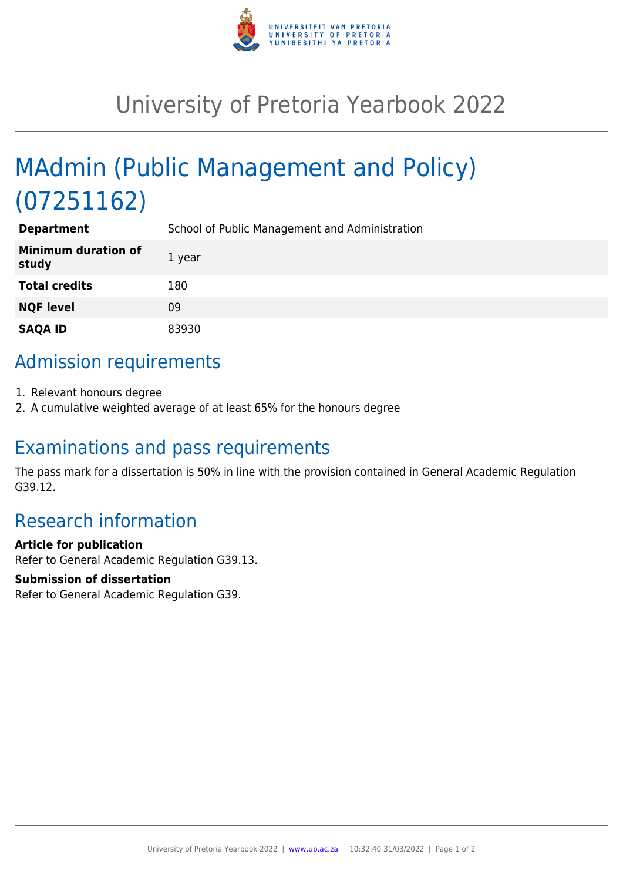

## University of Pretoria Yearbook 2022

# MAdmin (Public Management and Policy) (07251162)

| <b>Department</b>                   | School of Public Management and Administration |
|-------------------------------------|------------------------------------------------|
| <b>Minimum duration of</b><br>study | 1 year                                         |
| <b>Total credits</b>                | 180                                            |
| <b>NQF level</b>                    | 09                                             |
| <b>SAQA ID</b>                      | 83930                                          |

## Admission requirements

- 1. Relevant honours degree
- 2. A cumulative weighted average of at least 65% for the honours degree

#### Examinations and pass requirements

The pass mark for a dissertation is 50% in line with the provision contained in General Academic Regulation G39.12.

### Research information

#### **Article for publication**

Refer to General Academic Regulation G39.13.

#### **Submission of dissertation**

Refer to General Academic Regulation G39.